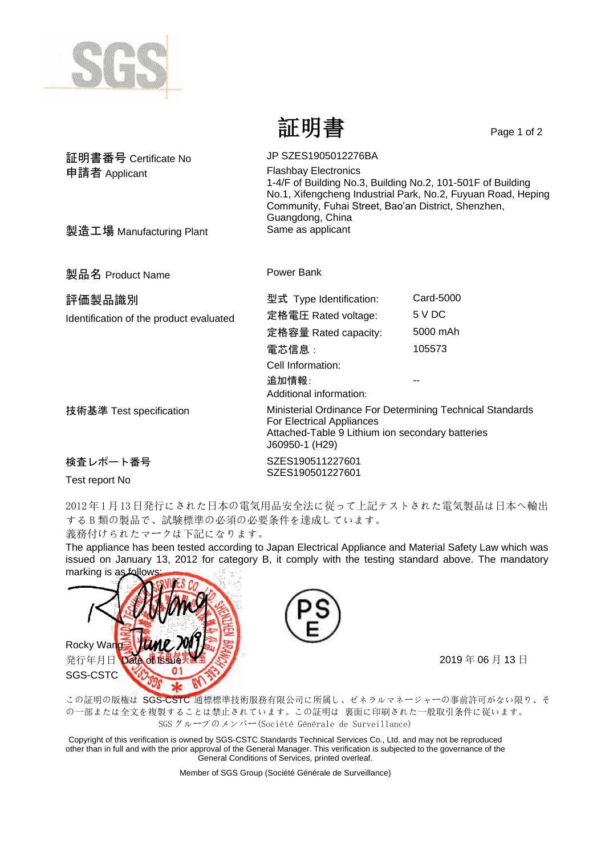

証明書 Page 1 of 2

| 証明書番号 Certificate No                    | JP SZES1905012276BA                                                                                                                                                                                                                   |           |  |
|-----------------------------------------|---------------------------------------------------------------------------------------------------------------------------------------------------------------------------------------------------------------------------------------|-----------|--|
| 申請者 Applicant                           | <b>Flashbay Electronics</b><br>1-4/F of Building No.3, Building No.2, 101-501F of Building<br>No.1, Xifengcheng Industrial Park, No.2, Fuyuan Road, Heping<br>Community, Fuhai Street, Bao'an District, Shenzhen,<br>Guangdong, China |           |  |
| 製造工場 Manufacturing Plant                | Same as applicant                                                                                                                                                                                                                     |           |  |
| 製品名 Product Name                        | Power Bank                                                                                                                                                                                                                            |           |  |
| 評価製品識別                                  | 型式 Type Identification:                                                                                                                                                                                                               | Card-5000 |  |
| Identification of the product evaluated | 定格電圧 Rated voltage:                                                                                                                                                                                                                   | 5 V DC    |  |
|                                         | 定格容量 Rated capacity:                                                                                                                                                                                                                  | 5000 mAh  |  |
|                                         | 電芯信息:                                                                                                                                                                                                                                 | 105573    |  |
|                                         | Cell Information:                                                                                                                                                                                                                     |           |  |
|                                         | 追加情報:<br>Additional information:                                                                                                                                                                                                      |           |  |
| 技術基準 Test specification                 | Ministerial Ordinance For Determining Technical Standards<br>For Electrical Appliances<br>Attached-Table 9 Lithium ion secondary batteries<br>J60950-1 (H29)                                                                          |           |  |
| 検査レポート番号                                | SZES190511227601                                                                                                                                                                                                                      |           |  |
| Test report No                          | SZES190501227601                                                                                                                                                                                                                      |           |  |

2012年1月13日発行にされた日本の電気用品安全法に従って上記テストされた電気製品は日本へ輸出 する B 類の製品で、試験標準の必須の必要条件を達成しています。

義務付けられたマークは下記になります。

The appliance has been tested according to Japan Electrical Appliance and Material Safety Law which was issued on January 13, 2012 for category B, it comply with the testing standard above. The mandatory marking is as follows





この証明の版権は SGS-CSTC 通標標準技術服務有限公司に所属し、ゼネラルマネージャーの事前許可がない限り、そ の一部または全文を複製することは禁止されています。この証明は 裏面に印刷された一般取引条件に従います。 SGS グループのメンバー(Société Générale de Surveillance)

Copyright of this verification is owned by SGS-CSTC Standards Technical Services Co., Ltd. and may not be reproduced other than in full and with the prior approval of the General Manager. This verification is subjected to the governance of the General Conditions of Services, printed overleaf.

Member of SGS Group (Société Générale de Surveillance)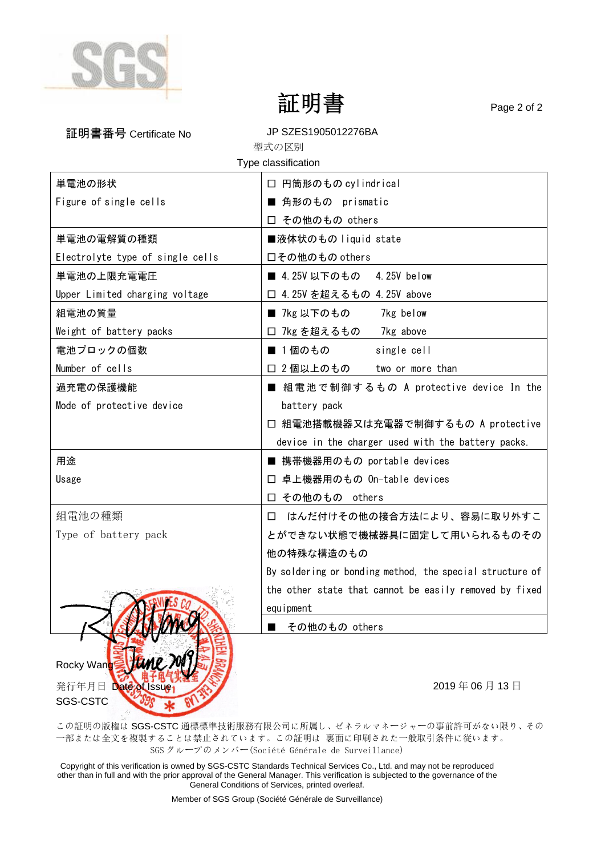

SGS-CSTC

証明書 Page 2 of 2

| 証明書番号 Certificate No             | JP SZES1905012276BA                                      |  |  |
|----------------------------------|----------------------------------------------------------|--|--|
| 型式の区別                            |                                                          |  |  |
| Type classification              |                                                          |  |  |
| 単電池の形状                           | □ 円筒形のもの cylindrical                                     |  |  |
| Figure of single cells           | 角形のもの prismatic                                          |  |  |
|                                  | □ その他のもの others                                          |  |  |
| 単電池の電解質の種類                       | ■液体状のもの liquid state                                     |  |  |
| Electrolyte type of single cells | 口その他のもの others                                           |  |  |
| 単電池の上限充電電圧                       | ■ 4.25V 以下のもの 4.25V below                                |  |  |
| Upper Limited charging voltage   | □ 4.25V を超えるもの 4.25V above                               |  |  |
| 組電池の質量                           | ■ 7kg 以下のもの<br>7kg below                                 |  |  |
| Weight of battery packs          | □ 7kg を超えるもの 7kg above                                   |  |  |
| 電池プロックの個数                        | ■ 1個のもの<br>single cell                                   |  |  |
| Number of cells                  | □ 2個以上のもの<br>two or more than                            |  |  |
| 過充電の保護機能                         | ■ 組電池で制御するもの A protective device In the                  |  |  |
| Mode of protective device        | battery pack                                             |  |  |
|                                  | □ 組電池搭載機器又は充電器で制御するもの A protective                       |  |  |
|                                  | device in the charger used with the battery packs.       |  |  |
| 用途                               | ■ 携帯機器用のもの portable devices                              |  |  |
| Usage                            | 卓上機器用のもの On-table devices<br>ப                           |  |  |
|                                  | □ その他のもの others                                          |  |  |
| 組電池の種類                           | はんだ付けその他の接合方法により、容易に取り外すこ<br>П                           |  |  |
| Type of battery pack             | とができない状態で機械器具に固定して用いられるものその                              |  |  |
|                                  | 他の特殊な構造のもの                                               |  |  |
|                                  | By soldering or bonding method, the special structure of |  |  |
|                                  | the other state that cannot be easily removed by fixed   |  |  |
|                                  | equipment                                                |  |  |
|                                  | その他のもの others                                            |  |  |
|                                  |                                                          |  |  |
| Rocky Wanos                      |                                                          |  |  |
| 発行年月日 Date of Issue              | 2019年06月13日                                              |  |  |

この証明の版権は SGS-CSTC 通標標準技術服務有限公司に所属し、ゼネラルマネージャーの事前許可がない限り、その 一部または全文を複製することは禁止されています。この証明は 裏面に印刷された一般取引条件に従います。 SGS グループのメンバー(Société Générale de Surveillance)

Copyright of this verification is owned by SGS-CSTC Standards Technical Services Co., Ltd. and may not be reproduced other than in full and with the prior approval of the General Manager. This verification is subjected to the governance of the General Conditions of Services, printed overleaf.

Member of SGS Group (Société Générale de Surveillance)